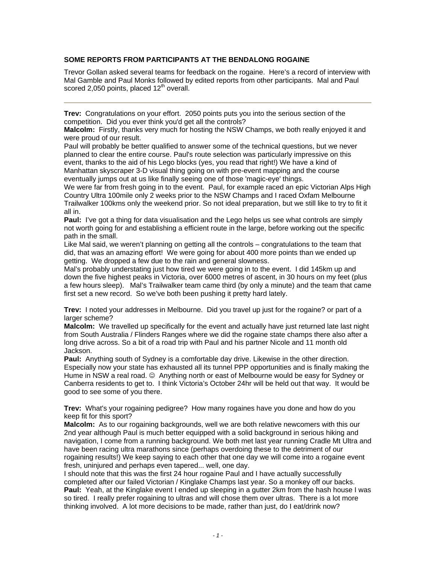# **SOME REPORTS FROM PARTICIPANTS AT THE BENDALONG ROGAINE**

Trevor Gollan asked several teams for feedback on the rogaine. Here's a record of interview with Mal Gamble and Paul Monks followed by edited reports from other participants. Mal and Paul scored 2,050 points, placed 12<sup>th</sup> overall.

**Trev:** Congratulations on your effort. 2050 points puts you into the serious section of the competition. Did you ever think you'd get all the controls?

**Malcolm:** Firstly, thanks very much for hosting the NSW Champs, we both really enjoyed it and were proud of our result.

Paul will probably be better qualified to answer some of the technical questions, but we never planned to clear the entire course. Paul's route selection was particularly impressive on this event, thanks to the aid of his Lego blocks (yes, you read that right!) We have a kind of Manhattan skyscraper 3-D visual thing going on with pre-event mapping and the course eventually jumps out at us like finally seeing one of those 'magic-eye' things.

We were far from fresh going in to the event. Paul, for example raced an epic Victorian Alps High Country Ultra 100mile only 2 weeks prior to the NSW Champs and I raced Oxfam Melbourne Trailwalker 100kms only the weekend prior. So not ideal preparation, but we still like to try to fit it all in.

**Paul:** I've got a thing for data visualisation and the Lego helps us see what controls are simply not worth going for and establishing a efficient route in the large, before working out the specific path in the small.

Like Mal said, we weren't planning on getting all the controls – congratulations to the team that did, that was an amazing effort! We were going for about 400 more points than we ended up getting. We dropped a few due to the rain and general slowness.

Mal's probably understating just how tired we were going in to the event. I did 145km up and down the five highest peaks in Victoria, over 6000 metres of ascent, in 30 hours on my feet (plus a few hours sleep). Mal's Trailwalker team came third (by only a minute) and the team that came first set a new record. So we've both been pushing it pretty hard lately.

**Trev:** I noted your addresses in Melbourne. Did you travel up just for the rogaine? or part of a larger scheme?

**Malcolm:** We travelled up specifically for the event and actually have just returned late last night from South Australia / Flinders Ranges where we did the rogaine state champs there also after a long drive across. So a bit of a road trip with Paul and his partner Nicole and 11 month old Jackson.

**Paul:** Anything south of Sydney is a comfortable day drive. Likewise in the other direction. Especially now your state has exhausted all its tunnel PPP opportunities and is finally making the Hume in NSW a real road. ☺ Anything north or east of Melbourne would be easy for Sydney or Canberra residents to get to. I think Victoria's October 24hr will be held out that way. It would be good to see some of you there.

**Trev:** What's your rogaining pedigree? How many rogaines have you done and how do you keep fit for this sport?

**Malcolm:** As to our rogaining backgrounds, well we are both relative newcomers with this our 2nd year although Paul is much better equipped with a solid background in serious hiking and navigation, I come from a running background. We both met last year running Cradle Mt Ultra and have been racing ultra marathons since (perhaps overdoing these to the detriment of our rogaining results!) We keep saying to each other that one day we will come into a rogaine event fresh, uninjured and perhaps even tapered... well, one day.

I should note that this was the first 24 hour rogaine Paul and I have actually successfully completed after our failed Victorian / Kinglake Champs last year. So a monkey off our backs. **Paul:** Yeah, at the Kinglake event I ended up sleeping in a gutter 2km from the hash house I was so tired. I really prefer rogaining to ultras and will chose them over ultras. There is a lot more thinking involved. A lot more decisions to be made, rather than just, do I eat/drink now?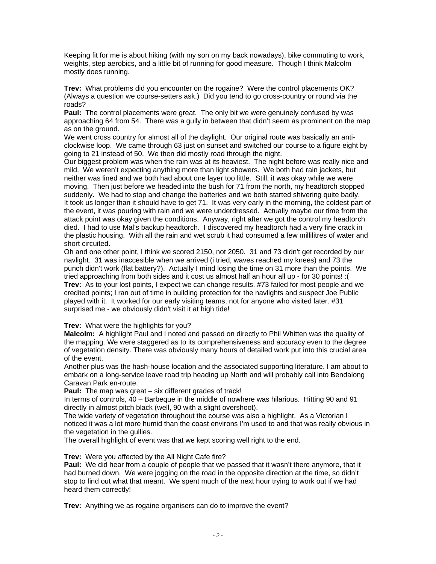Keeping fit for me is about hiking (with my son on my back nowadays), bike commuting to work, weights, step aerobics, and a little bit of running for good measure. Though I think Malcolm mostly does running.

**Trev:** What problems did you encounter on the rogaine? Were the control placements OK? (Always a question we course-setters ask.) Did you tend to go cross-country or round via the roads?

**Paul:** The control placements were great. The only bit we were genuinely confused by was approaching 64 from 54. There was a gully in between that didn't seem as prominent on the map as on the ground.

We went cross country for almost all of the daylight. Our original route was basically an anticlockwise loop. We came through 63 just on sunset and switched our course to a figure eight by going to 21 instead of 50. We then did mostly road through the night.

Our biggest problem was when the rain was at its heaviest. The night before was really nice and mild. We weren't expecting anything more than light showers. We both had rain jackets, but neither was lined and we both had about one layer too little. Still, it was okay while we were moving. Then just before we headed into the bush for 71 from the north, my headtorch stopped suddenly. We had to stop and change the batteries and we both started shivering quite badly. It took us longer than it should have to get 71. It was very early in the morning, the coldest part of the event, it was pouring with rain and we were underdressed. Actually maybe our time from the attack point was okay given the conditions. Anyway, right after we got the control my headtorch died. I had to use Mal's backup headtorch. I discovered my headtorch had a very fine crack in the plastic housing. With all the rain and wet scrub it had consumed a few millilitres of water and short circuited.

Oh and one other point, I think we scored 2150, not 2050. 31 and 73 didn't get recorded by our navlight. 31 was inaccesible when we arrived (i tried, waves reached my knees) and 73 the punch didn't work (flat battery?). Actually I mind losing the time on 31 more than the points. We tried approaching from both sides and it cost us almost half an hour all up - for 30 points! :( **Trev:** As to your lost points, I expect we can change results. #73 failed for most people and we credited points; I ran out of time in building protection for the navlights and suspect Joe Public played with it. It worked for our early visiting teams, not for anyone who visited later. #31 surprised me - we obviously didn't visit it at high tide!

#### **Trev:** What were the highlights for you?

**Malcolm:** A highlight Paul and I noted and passed on directly to Phil Whitten was the quality of the mapping. We were staggered as to its comprehensiveness and accuracy even to the degree of vegetation density. There was obviously many hours of detailed work put into this crucial area of the event.

Another plus was the hash-house location and the associated supporting literature. I am about to embark on a long-service leave road trip heading up North and will probably call into Bendalong Caravan Park en-route.

**Paul:** The map was great – six different grades of track!

In terms of controls, 40 – Barbeque in the middle of nowhere was hilarious. Hitting 90 and 91 directly in almost pitch black (well, 90 with a slight overshoot).

The wide variety of vegetation throughout the course was also a highlight. As a Victorian I noticed it was a lot more humid than the coast environs I'm used to and that was really obvious in the vegetation in the gullies.

The overall highlight of event was that we kept scoring well right to the end.

### **Trev:** Were you affected by the All Night Cafe fire?

**Paul:** We did hear from a couple of people that we passed that it wasn't there anymore, that it had burned down. We were jogging on the road in the opposite direction at the time, so didn't stop to find out what that meant. We spent much of the next hour trying to work out if we had heard them correctly!

**Trev:** Anything we as rogaine organisers can do to improve the event?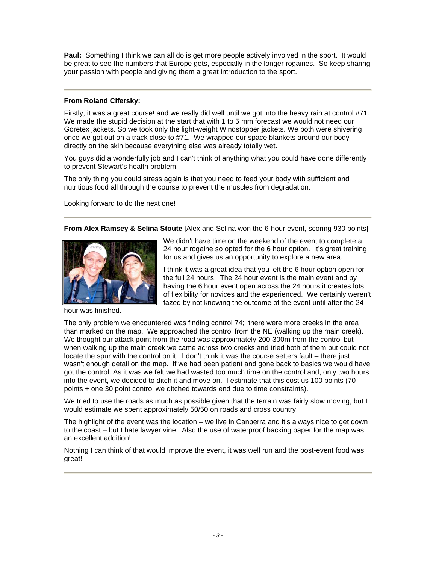**Paul:** Something I think we can all do is get more people actively involved in the sport. It would be great to see the numbers that Europe gets, especially in the longer rogaines. So keep sharing your passion with people and giving them a great introduction to the sport.

# **From Roland Cifersky:**

Firstly, it was a great course! and we really did well until we got into the heavy rain at control #71. We made the stupid decision at the start that with 1 to 5 mm forecast we would not need our Goretex jackets. So we took only the light-weight Windstopper jackets. We both were shivering once we got out on a track close to #71. We wrapped our space blankets around our body directly on the skin because everything else was already totally wet.

You guys did a wonderfully job and I can't think of anything what you could have done differently to prevent Stewart's health problem.

The only thing you could stress again is that you need to feed your body with sufficient and nutritious food all through the course to prevent the muscles from degradation.

Looking forward to do the next one!

**From Alex Ramsey & Selina Stoute** [Alex and Selina won the 6-hour event, scoring 930 points]



hour was finished.

We didn't have time on the weekend of the event to complete a 24 hour rogaine so opted for the 6 hour option. It's great training for us and gives us an opportunity to explore a new area.

I think it was a great idea that you left the 6 hour option open for the full 24 hours. The 24 hour event is the main event and by having the 6 hour event open across the 24 hours it creates lots of flexibility for novices and the experienced. We certainly weren't fazed by not knowing the outcome of the event until after the 24

The only problem we encountered was finding control 74; there were more creeks in the area than marked on the map. We approached the control from the NE (walking up the main creek). We thought our attack point from the road was approximately 200-300m from the control but when walking up the main creek we came across two creeks and tried both of them but could not locate the spur with the control on it. I don't think it was the course setters fault – there just wasn't enough detail on the map. If we had been patient and gone back to basics we would have got the control. As it was we felt we had wasted too much time on the control and, only two hours into the event, we decided to ditch it and move on. I estimate that this cost us 100 points (70 points + one 30 point control we ditched towards end due to time constraints).

We tried to use the roads as much as possible given that the terrain was fairly slow moving, but I would estimate we spent approximately 50/50 on roads and cross country.

The highlight of the event was the location – we live in Canberra and it's always nice to get down to the coast – but I hate lawyer vine! Also the use of waterproof backing paper for the map was an excellent addition!

Nothing I can think of that would improve the event, it was well run and the post-event food was great!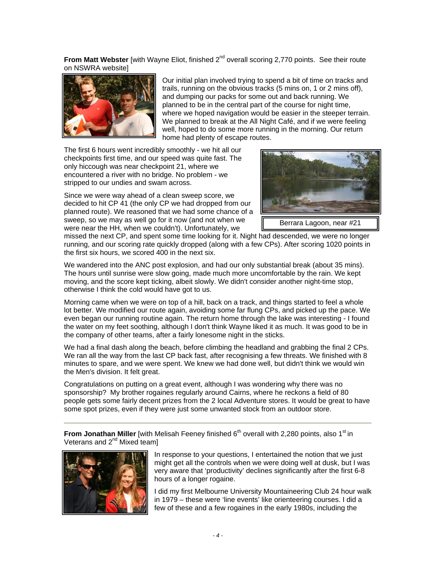**From Matt Webster** [with Wayne Eliot, finished 2<sup>nd</sup> overall scoring 2,770 points. See their route on NSWRA website]



Our initial plan involved trying to spend a bit of time on tracks and trails, running on the obvious tracks (5 mins on, 1 or 2 mins off), and dumping our packs for some out and back running. We planned to be in the central part of the course for night time, where we hoped navigation would be easier in the steeper terrain. We planned to break at the All Night Café, and if we were feeling well, hoped to do some more running in the morning. Our return home had plenty of escape routes.

The first 6 hours went incredibly smoothly - we hit all our checkpoints first time, and our speed was quite fast. The only hiccough was near checkpoint 21, where we encountered a river with no bridge. No problem - we stripped to our undies and swam across.

Since we were way ahead of a clean sweep score, we decided to hit CP 41 (the only CP we had dropped from our planned route). We reasoned that we had some chance of a sweep, so we may as well go for it now (and not when we were near the HH, when we couldn't). Unfortunately, we



Berrara Lagoon, near #21

missed the next CP, and spent some time looking for it. Night had descended, we were no longer running, and our scoring rate quickly dropped (along with a few CPs). After scoring 1020 points in the first six hours, we scored 400 in the next six.

We wandered into the ANC post explosion, and had our only substantial break (about 35 mins). The hours until sunrise were slow going, made much more uncomfortable by the rain. We kept moving, and the score kept ticking, albeit slowly. We didn't consider another night-time stop, otherwise I think the cold would have got to us.

Morning came when we were on top of a hill, back on a track, and things started to feel a whole lot better. We modified our route again, avoiding some far flung CPs, and picked up the pace. We even began our running routine again. The return home through the lake was interesting - I found the water on my feet soothing, although I don't think Wayne liked it as much. It was good to be in the company of other teams, after a fairly lonesome night in the sticks.

We had a final dash along the beach, before climbing the headland and grabbing the final 2 CPs. We ran all the way from the last CP back fast, after recognising a few threats. We finished with 8 minutes to spare, and we were spent. We knew we had done well, but didn't think we would win the Men's division. It felt great.

Congratulations on putting on a great event, although I was wondering why there was no sponsorship? My brother rogaines regularly around Cairns, where he reckons a field of 80 people gets some fairly decent prizes from the 2 local Adventure stores. It would be great to have some spot prizes, even if they were just some unwanted stock from an outdoor store.

**From Jonathan Miller** [with Melisah Feeney finished 6<sup>th</sup> overall with 2,280 points, also 1<sup>st</sup> in Veterans and 2<sup>nd</sup> Mixed team]



In response to your questions, I entertained the notion that we just might get all the controls when we were doing well at dusk, but I was very aware that 'productivity' declines significantly after the first 6-8 hours of a longer rogaine.

I did my first Melbourne University Mountaineering Club 24 hour walk in 1979 – these were 'line events' like orienteering courses. I did a few of these and a few rogaines in the early 1980s, including the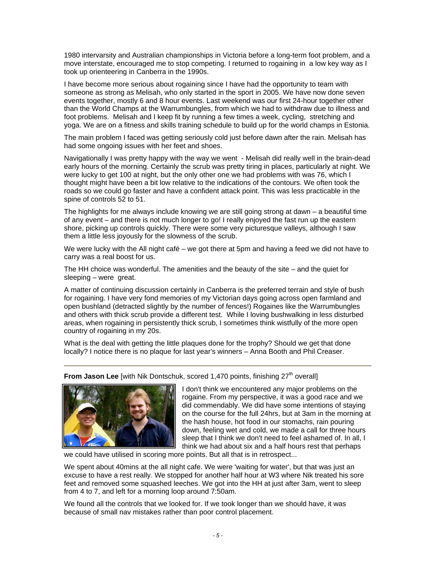1980 intervarsity and Australian championships in Victoria before a long-term foot problem, and a move interstate, encouraged me to stop competing. I returned to rogaining in a low key way as I took up orienteering in Canberra in the 1990s.

I have become more serious about rogaining since I have had the opportunity to team with someone as strong as Melisah, who only started in the sport in 2005. We have now done seven events together, mostly 6 and 8 hour events. Last weekend was our first 24-hour together other than the World Champs at the Warrumbungles, from which we had to withdraw due to illness and foot problems. Melisah and I keep fit by running a few times a week, cycling, stretching and yoga. We are on a fitness and skills training schedule to build up for the world champs in Estonia.

The main problem I faced was getting seriously cold just before dawn after the rain. Melisah has had some ongoing issues with her feet and shoes.

Navigationally I was pretty happy with the way we went - Melisah did really well in the brain-dead early hours of the morning. Certainly the scrub was pretty tiring in places, particularly at night. We were lucky to get 100 at night, but the only other one we had problems with was 76, which I thought might have been a bit low relative to the indications of the contours. We often took the roads so we could go faster and have a confident attack point. This was less practicable in the spine of controls 52 to 51.

The highlights for me always include knowing we are still going strong at dawn – a beautiful time of any event – and there is not much longer to go! I really enjoyed the fast run up the eastern shore, picking up controls quickly. There were some very picturesque valleys, although I saw them a little less joyously for the slowness of the scrub.

We were lucky with the All night café – we got there at 5pm and having a feed we did not have to carry was a real boost for us.

The HH choice was wonderful. The amenities and the beauty of the site – and the quiet for sleeping – were great.

A matter of continuing discussion certainly in Canberra is the preferred terrain and style of bush for rogaining. I have very fond memories of my Victorian days going across open farmland and open bushland (detracted slightly by the number of fences!) Rogaines like the Warrumbungles and others with thick scrub provide a different test. While I loving bushwalking in less disturbed areas, when rogaining in persistently thick scrub, I sometimes think wistfully of the more open country of rogaining in my 20s.

What is the deal with getting the little plaques done for the trophy? Should we get that done locally? I notice there is no plaque for last year's winners – Anna Booth and Phil Creaser.

**From Jason Lee** [with Nik Dontschuk, scored 1,470 points, finishing 27<sup>th</sup> overall]



I don't think we encountered any major problems on the rogaine. From my perspective, it was a good race and we did commendably. We did have some intentions of staying on the course for the full 24hrs, but at 3am in the morning at the hash house, hot food in our stomachs, rain pouring down, feeling wet and cold, we made a call for three hours sleep that I think we don't need to feel ashamed of. In all, I think we had about six and a half hours rest that perhaps

we could have utilised in scoring more points. But all that is in retrospect...

We spent about 40mins at the all night cafe. We were 'waiting for water', but that was just an excuse to have a rest really. We stopped for another half hour at W3 where Nik treated his sore feet and removed some squashed leeches. We got into the HH at just after 3am, went to sleep from 4 to 7, and left for a morning loop around 7:50am.

We found all the controls that we looked for. If we took longer than we should have, it was because of small nav mistakes rather than poor control placement.